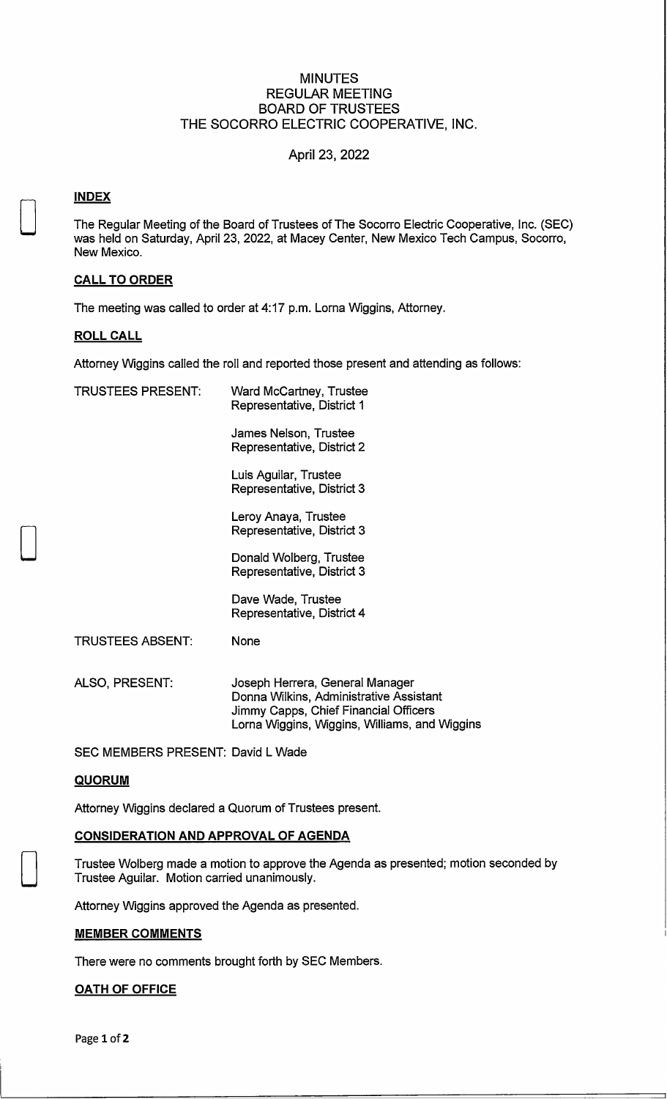### MINUTES REGULAR MEETING BOARD OF TRUSTEES THE SOCORRO ELECTRIC COOPERATIVE, **INC.**

### April 23, 2022

### **INDEX**

0

 $\Box$ 

 $\Box$ 

The Regular Meeting of the Board of Trustees of The Socorro Electric Cooperative, Inc. (SEC) was held on Saturday, April 23, 2022, at Macey Center, New Mexico Tech Campus, Socorro, New Mexico.

#### **CALL TO ORDER**

The meeting was called to order at 4:17 p.m. Lorna Wiggins, Attorney.

### **ROLL CALL**

Attorney Wiggins called the roll and reported those present and attending as follows:

| <b>TRUSTEES PRESENT:</b>          | <b>Ward McCartney, Trustee</b><br>Representative, District 1                                                                                                         |
|-----------------------------------|----------------------------------------------------------------------------------------------------------------------------------------------------------------------|
|                                   | James Nelson, Trustee<br>Representative, District 2                                                                                                                  |
|                                   | Luis Aguilar, Trustee<br>Representative, District 3                                                                                                                  |
|                                   | Leroy Anaya, Trustee<br>Representative, District 3                                                                                                                   |
|                                   | Donald Wolberg, Trustee<br>Representative, District 3                                                                                                                |
|                                   | Dave Wade, Trustee<br>Representative, District 4                                                                                                                     |
| <b>TRUSTEES ABSENT:</b>           | None                                                                                                                                                                 |
| ALSO, PRESENT:                    | Joseph Herrera, General Manager<br>Donna Wilkins, Administrative Assistant<br>Jimmy Capps, Chief Financial Officers<br>Lorna Wiggins, Wiggins, Williams, and Wiggins |
| SEC MEMBERS PRESENT: David L Wade |                                                                                                                                                                      |

### **QUORUM**

Attorney Wiggins declared a Quorum of Trustees present.

#### **CONSIDERATION AND APPROVAL OF AGENDA**

Trustee Walberg made a motion to approve the Agenda as presented; motion seconded by Trustee Aguilar. Motion carried unanimously.

Attorney Wiggins approved the Agenda as presented.

#### **MEMBER COMMENTS**

There were no comments brought forth by SEC Members.

#### **OATH OF OFFICE**

Page **1** of **2**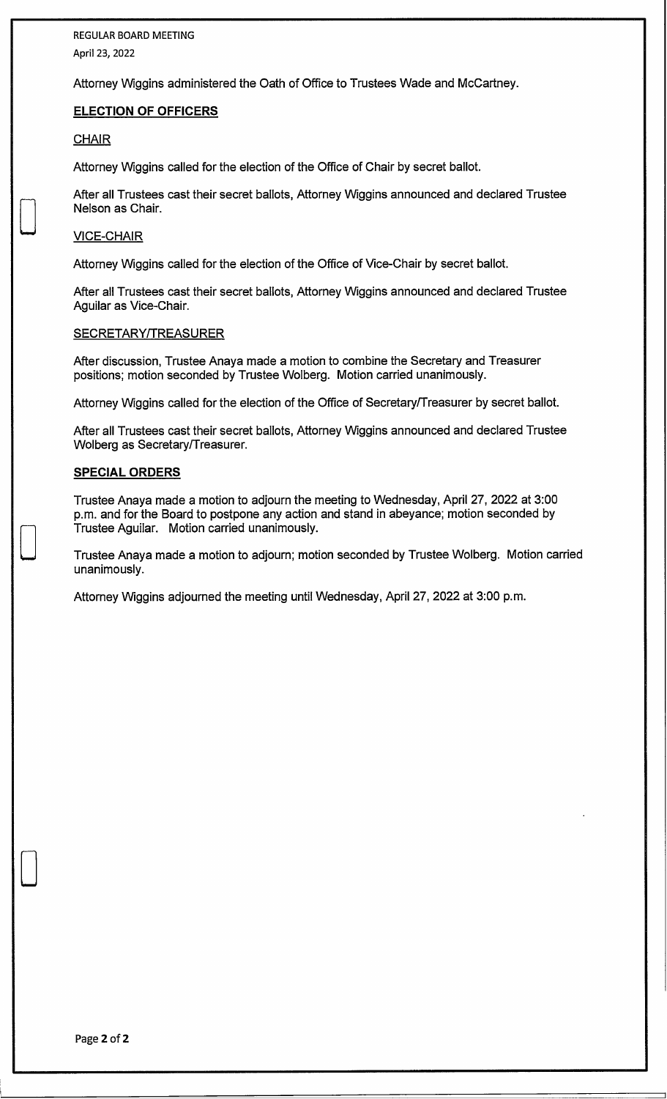REGULAR BOARD MEETING April 23, 2022

Attorney Wiggins administered the Oath of Office to Trustees Wade and McCartney.

### **ELECTION OF OFFICERS**

#### **CHAIR**

D

D

D

Attorney Wiggins called for the election of the Office of Chair by secret ballot.

After all Trustees cast their secret ballots, Attorney Wiggins announced and declared Trustee Nelson as Chair.

#### VICE-CHAIR

Attorney Wiggins called for the election of the Office of Vice-Chair by secret ballot.

After all Trustees cast their secret ballots, Attorney Wiggins announced and declared Trustee Aguilar as Vice-Chair.

#### SECRETARY/TREASURER

After discussion, Trustee Anaya made a motion to combine the Secretary and Treasurer positions; motion seconded by Trustee Walberg. Motion carried unanimously.

Attorney Wiggins called for the election of the Office of Secretary/Treasurer by secret ballot.

After all Trustees cast their secret ballots, Attorney Wiggins announced and declared Trustee Walberg as Secretary/Treasurer.

#### **SPECIAL ORDERS**

Trustee Anaya made a motion to adjourn the meeting to Wednesday, April 27, 2022 at 3:00 p.m. and for the Board to postpone any action and stand in abeyance; motion seconded by Trustee Aguilar. Motion carried unanimously.

Trustee Anaya made a motion to adjourn; motion seconded by Trustee Walberg. Motion carried unanimously.

Attorney Wiggins adjourned the meeting until Wednesday, April 27, 2022 at 3:00 p.m.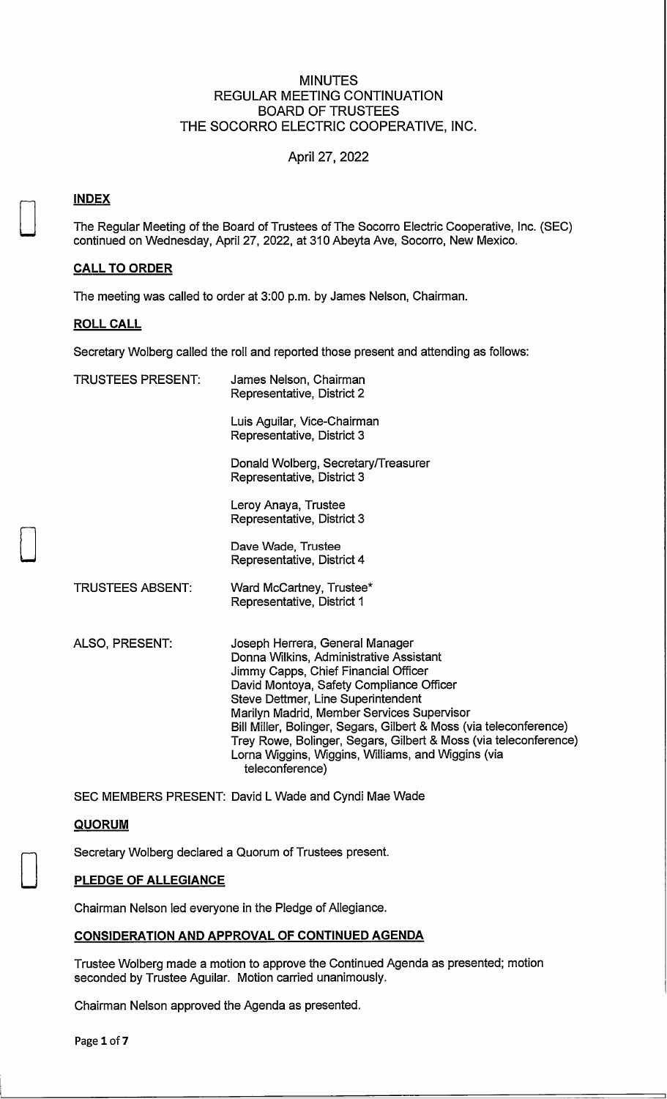### MINUTES REGULAR MEETING CONTINUATION BOARD OF TRUSTEES THE SOCORRO ELECTRIC COOPERATIVE, **INC.**

### April 27, 2022

### **INDEX**

D

D

D

The Regular Meeting of the Board of Trustees of The Socorro Electric Cooperative, Inc. (SEC) continued on Wednesday, April 27, 2022, at 310 Abeyta Ave, Socorro, New Mexico.

#### **CALL TO ORDER**

The meeting was called to order at 3:00 p.m. by James Nelson, Chairman.

#### **ROLL CALL**

Secretary Wolberg called the roll and reported those present and attending as follows:

| <b>TRUSTEES PRESENT:</b> | James Nelson, Chairman     |  |  |  |  |
|--------------------------|----------------------------|--|--|--|--|
|                          | Representative, District 2 |  |  |  |  |

Luis Aguilar, Vice-Chairman Representative, District 3

Donald Wolberg, Secretary/Treasurer Representative, District 3

Leroy Anaya, Trustee Representative, District 3

Dave Wade, Trustee Representative, District 4

Ward McCartney, Trustee\* Representative, District 1

TRUSTEES ABSENT:

- ALSO, PRESENT:
	- Joseph Herrera, General Manager Donna Wilkins, Administrative Assistant Jimmy Capps, Chief Financial Officer David Montoya, Safety Compliance Officer Steve Dettmer, Line Superintendent Marilyn Madrid, Member Services Supervisor Bill Miller, Bolinger, Segars, Gilbert & Moss (via teleconference) Trey Rowe, Bolinger, Segars, Gilbert & Moss (via teleconference) Lorna Wiggins, Wiggins, Williams, and Wiggins (via teleconference)

SEC MEMBERS PRESENT: David L Wade and Cyndi Mae Wade

#### **QUORUM**

Secretary Wolberg declared a Quorum of Trustees present.

### **PLEDGE OF ALLEGIANCE**

Chairman Nelson led everyone in the Pledge of Allegiance.

### **CONSIDERATION AND APPROVAL OF CONTINUED AGENDA**

Trustee Wolberg made a motion to approve the Continued Agenda as presented; motion seconded by Trustee Aguilar. Motion carried unanimously.

Chairman Nelson approved the Agenda as presented.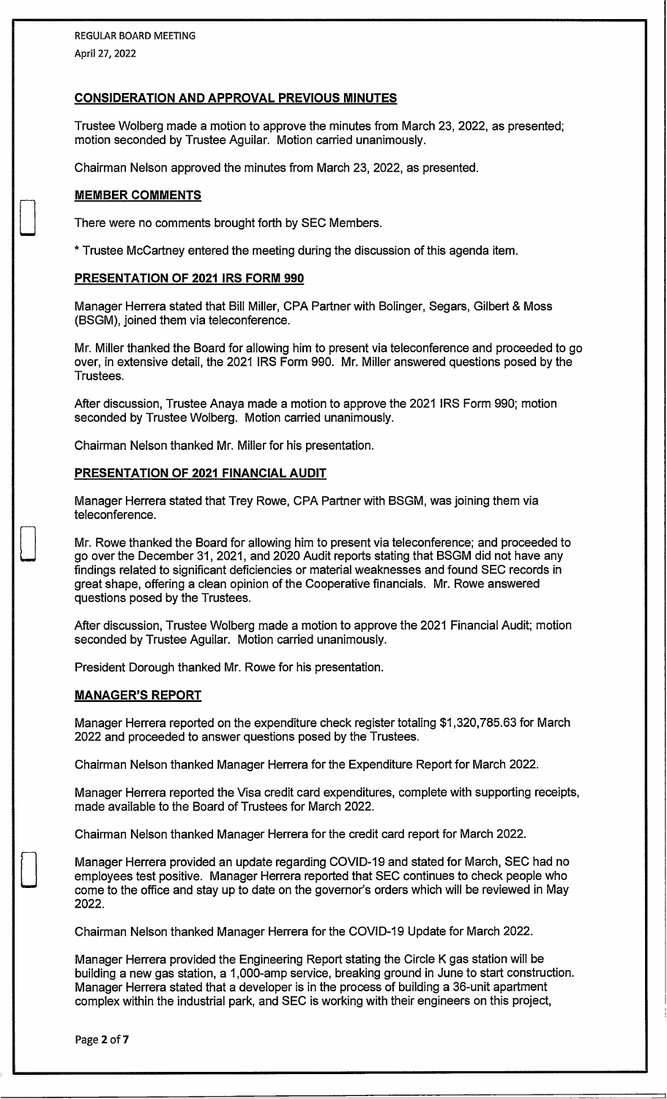### **CONSIDERATION AND APPROVAL PREVIOUS MINUTES**

Trustee Wolberg made a motion to approve the minutes from March 23, 2022, as presented; motion seconded by Trustee Aguilar. Motion carried unanimously.

Chairman Nelson approved the minutes from March 23, 2022, as presented.

#### **MEMBER COMMENTS**

D

 $\Box$ 

D

There were no comments brought forth by SEC Members.

\* Trustee McCartney entered the meeting during the discussion of this agenda item.

#### **PRESENTATION OF 2021 IRS FORM 990**

Manager Herrera stated that Bill Miller, CPA Partner with Bolinger, Segars, Gilbert & Moss (BSGM), joined them via teleconference.

Mr. Miller thanked the Board for allowing him to present via teleconference and proceeded to go over, in extensive detail, the 2021 IRS Form 990. Mr. Miller answered questions posed by the Trustees.

After discussion, Trustee Anaya made a motion to approve the 2021 IRS Form 990; motion seconded by Trustee Wolberg. Motion carried unanimously.

Chairman Nelson thanked Mr. Miller for his presentation.

#### **PRESENTATION OF 2021 FINANCIAL AUDIT**

Manager Herrera stated that Trey Rowe, CPA Partner with BSGM, was joining them via teleconference.

Mr. Rowe thanked the Board for allowing him to present via teleconference; and proceeded to go over the December 31, 2021, and 2020 Audit reports stating that BSGM did not have any findings related to significant deficiencies or material weaknesses and found SEC records in great shape, offering a clean opinion of the Cooperative financials. Mr. Rowe answered questions posed by the Trustees.

After discussion, Trustee Wolberg made a motion to approve the 2021 Financial Audit; motion seconded by Trustee Aguilar. Motion carried unanimously.

President Dorough thanked Mr. Rowe for his presentation.

#### **MANAGER'S REPORT**

Manager Herrera reported on the expenditure check register totaling \$1,320,785.63 for March 2022 and proceeded to answer questions posed by the Trustees.

Chairman Nelson thanked Manager Herrera for the Expenditure Report for March 2022.

Manager Herrera reported the Visa credit card expenditures, complete with supporting receipts, made available to the Board of Trustees for March 2022.

Chairman Nelson thanked Manager Herrera for the credit card report for March 2022.

Manager Herrera provided an update regarding COVID-19 and stated for March, SEC had no employees test positive. Manager Herrera reported that SEC continues to check people who come to the office and stay up to date on the governor's orders which will be reviewed in May 2022.

Chairman Nelson thanked Manager Herrera for the COVID-19 Update for March 2022.

Manager Herrera provided the Engineering Report stating the Circle K gas station will be building a new gas station, a 1,000-amp service, breaking ground in June to start construction. Manager Herrera stated that a developer is in the process of building a 36-unit apartment complex within the industrial park, and SEC is working with their engineers on this project,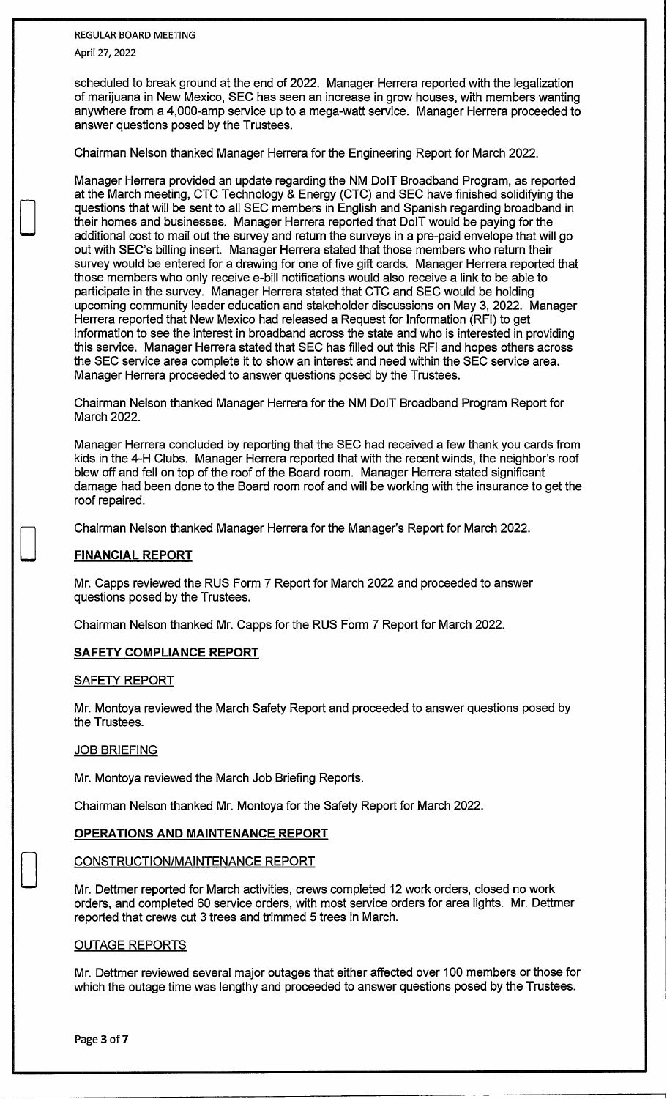REGULAR BOARD MEETING April 27, 2022

D

 $\Box$ 

D

scheduled to break ground at the end of 2022. Manager Herrera reported with the legalization of marijuana in New Mexico, SEC has seen an increase in grow houses, with members wanting anywhere from a 4,000-amp service up to a mega-watt service. Manager Herrera proceeded to answer questions posed by the Trustees.

Chairman Nelson thanked Manager Herrera for the Engineering Report for March 2022.

Manager Herrera provided an update regarding the NM DolT Broadband Program, as reported at the March meeting, CTC Technology & Energy (CTC) and SEC have finished solidifying the questions that will be sent to all SEC members in English and Spanish regarding broadband in their homes and businesses. Manager Herrera reported that DolT would be paying for the additional cost to mail out the survey and return the surveys in a pre-paid envelope that will go out with SEC's billing insert. Manager Herrera stated that those members who return their survey would be entered for a drawing for one of five gift cards. Manager Herrera reported that those members who only receive e-bill notifications would also receive a link to be able to participate in the survey. Manager Herrera stated that CTC and SEC would be holding upcoming community leader education and stakeholder discussions on May 3, 2022. Manager Herrera reported that New Mexico had released a Request for Information (RFI) to get information to see the interest in broadband across the state and who is interested in providing this service. Manager Herrera stated that SEC has filled out this RFI and hopes others across the SEC service area complete it to show an interest and need within the SEC service area. Manager Herrera proceeded to answer questions posed by the Trustees.

Chairman Nelson thanked Manager Herrera for the NM DolT Broadband Program Report for March 2022.

Manager Herrera concluded by reporting that the SEC had received a few thank you cards from kids in the 4-H Clubs. Manager Herrera reported that with the recent winds, the neighbor's roof blew off and fell on top of the roof of the Board room. Manager Herrera stated significant damage had been done to the Board room roof and will be working with the insurance to get the roof repaired.

Chairman Nelson thanked Manager Herrera for the Manager's Report for March 2022.

### **FINANCIAL REPORT**

Mr. Capps reviewed the RUS Form 7 Report for March 2022 and proceeded to answer questions posed by the Trustees.

Chairman Nelson thanked Mr. Capps for the RUS Form 7 Report for March 2022.

#### **SAFETY COMPLIANCE REPORT**

#### SAFETY REPORT

Mr. Montoya reviewed the March Safety Report and proceeded to answer questions posed by the Trustees.

#### **JOB BRIEFING**

Mr. Montoya reviewed the March Job Briefing Reports.

Chairman Nelson thanked Mr. Montoya for the Safety Report for March 2022.

#### **OPERATIONS AND MAINTENANCE REPORT**

#### CONSTRUCTION/MAINTENANCE REPORT

Mr. Dettmer reported for March activities, crews completed 12 work orders, closed no work orders, and completed 60 service orders, with most service orders for area lights. Mr. Dettmer reported that crews cut 3 trees and trimmed 5 trees in March.

#### OUTAGE REPORTS

Mr. Dettmer reviewed several major outages that either affected over 100 members or those for which the outage time was lengthy and proceeded to answer questions posed by the Trustees.

Page **3** of **7**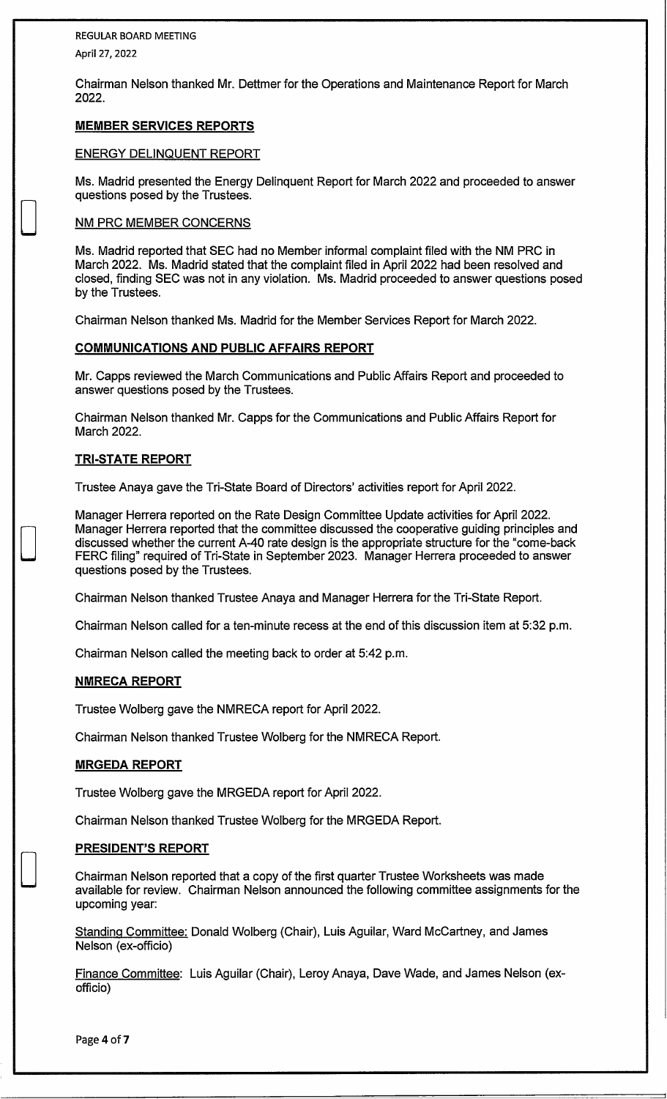REGULAR BOARD MEETING

April 27, 2022

D

 $\begin{bmatrix} 1 \\ -1 \end{bmatrix}$ 

D

Chairman Nelson thanked Mr. Dettmer for the Operations and Maintenance Report for March 2022.

### **MEMBER SERVICES REPORTS**

### ENERGY DELINQUENT REPORT

Ms. Madrid presented the Energy Delinquent Report for March 2022 and proceeded to answer questions posed by the Trustees.

### NM PRC MEMBER CONCERNS

Ms. Madrid reported that SEC had no Member informal complaint filed with the NM PRC in March 2022. Ms. Madrid stated that the complaint filed in April 2022 had been resolved and closed, finding SEC was not in any violation. Ms. Madrid proceeded to answer questions posed by the Trustees.

Chairman Nelson thanked Ms. Madrid for the Member Services Report for March 2022.

### **COMMUNICATIONS AND PUBLIC AFFAIRS REPORT**

Mr. Capps reviewed the March Communications and Public Affairs Report and proceeded to answer questions posed by the Trustees.

Chairman Nelson thanked Mr. Capps for the Communications and Public Affairs Report for March 2022.

### **TRI-STATE REPORT**

Trustee Anaya gave the Tri-State Board of Directors' activities report for April 2022.

Manager Herrera reported on the Rate Design Committee Update activities for April 2022. Manager Herrera reported that the committee discussed the cooperative guiding principles and discussed whether the current A-40 rate design is the appropriate structure for the "come-back FERC filing" required of Tri-State in September 2023. Manager Herrera proceeded to answer questions posed by the Trustees.

Chairman Nelson thanked Trustee Anaya and Manager Herrera for the Tri-State Report.

Chairman Nelson called for a ten-minute recess at the end of this discussion item at 5:32 p.m.

Chairman Nelson called the meeting back to order at 5:42 p.m.

### **NMRECA REPORT**

Trustee Wolberg gave the NMRECA report for April 2022.

Chairman Nelson thanked Trustee Wolberg for the NMRECA Report.

### **MRGEDA REPORT**

Trustee Wolberg gave the MRGEDA report for April 2022.

Chairman Nelson thanked Trustee Wolberg for the MRGEDA Report.

### **PRESIDENT'S REPORT**

Chairman Nelson reported that a copy of the first quarter Trustee Worksheets was made available for review. Chairman Nelson announced the following committee assignments for the upcoming year:

Standing Committee: Donald Wolberg (Chair), Luis Aguilar, Ward McCartney, and James Nelson (ex-officio)

Finance Committee: Luis Aguilar (Chair), Leroy Anaya, Dave Wade, and James Nelson (exofficio)

Page 4 of **7**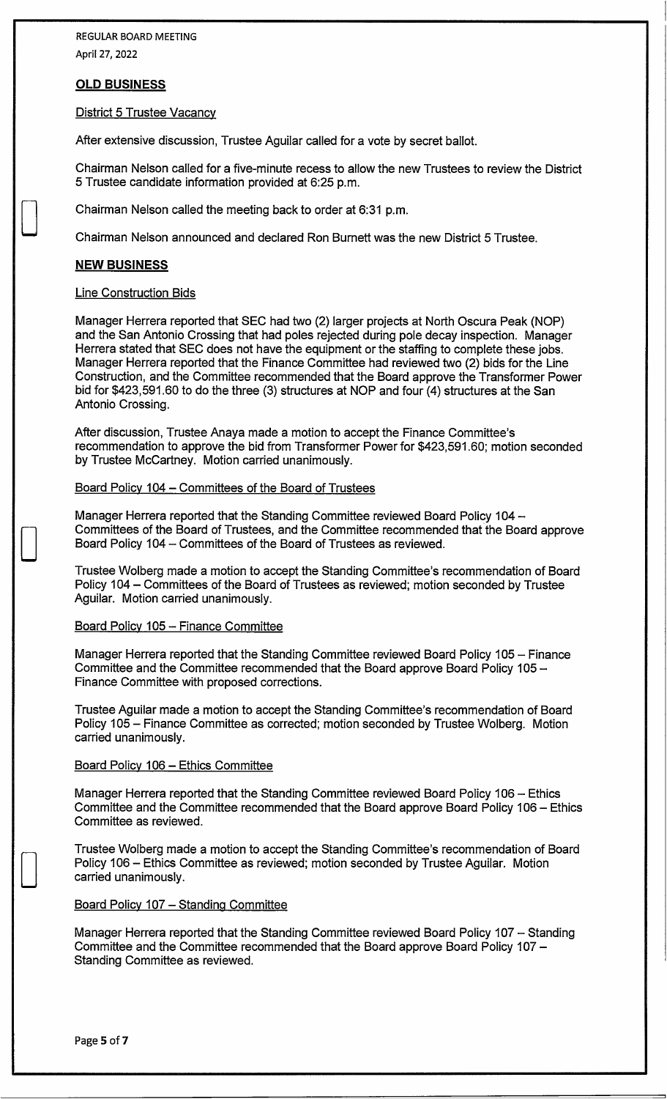### **OLD BUSINESS**

#### **District 5 Trustee Vacancy**

After extensive discussion, Trustee Aguilar called for a vote by secret ballot.

Chairman Nelson called for a five-minute recess to allow the new Trustees to review the District 5 Trustee candidate information provided at 6:25 p.m.

Chairman Nelson called the meeting back to order at 6:31 p.m.

Chairman Nelson announced and declared Ron Burnett was the new District 5 Trustee.

### **NEW BUSINESS**

D

D

D

#### Line Construction Bids

Manager Herrera reported that SEC had two (2) larger projects at North Oscura Peak (NOP) and the San Antonio Crossing that had poles rejected during pole decay inspection. Manager Herrera stated that SEC does not have the equipment or the staffing to complete these jobs. Manager Herrera reported that the Finance Committee had reviewed two (2) bids for the Line Construction, and the Committee recommended that the Board approve the Transformer Power bid for \$423,591.60 to do the three (3) structures at NOP and four (4) structures at the San Antonio Crossing.

After discussion, Trustee Anaya made a motion to accept the Finance Committee's recommendation to approve the bid from Transformer Power for \$423,591.60; motion seconded by Trustee McCartney. Motion carried unanimously.

Board Policy 104 - Committees of the Board of Trustees

Manager Herrera reported that the Standing Committee reviewed Board Policy 104 -Committees of the Board of Trustees, and the Committee recommended that the Board approve Board Policy 104 - Committees of the Board of Trustees as reviewed.

Trustee Walberg made a motion to accept the Standing Committee's recommendation of Board Policy 104 - Committees of the Board of Trustees as reviewed; motion seconded by Trustee Aguilar. Motion carried unanimously.

### Board Policy 105 - Finance Committee

Manager Herrera reported that the Standing Committee reviewed Board Policy 105 - Finance Committee and the Committee recommended that the Board approve Board Policy 105 -Finance Committee with proposed corrections.

Trustee Aguilar made a motion to accept the Standing Committee's recommendation of Board Policy 105 - Finance Committee as corrected; motion seconded by Trustee Walberg. Motion carried unanimously.

### Board Policy 106 - Ethics Committee

Manager Herrera reported that the Standing Committee reviewed Board Policy 106 - Ethics Committee and the Committee recommended that the Board approve Board Policy 106 - Ethics Committee as reviewed.

Trustee Walberg made a motion to accept the Standing Committee's recommendation of Board Policy 106 - Ethics Committee as reviewed; motion seconded by Trustee Aguilar. Motion carried unanimously.

#### Board Policy 107 - Standing Committee

Manager Herrera reported that the Standing Committee reviewed Board Policy 107 - Standing Committee and the Committee recommended that the Board approve Board Policy 107 - Standing Committee as reviewed.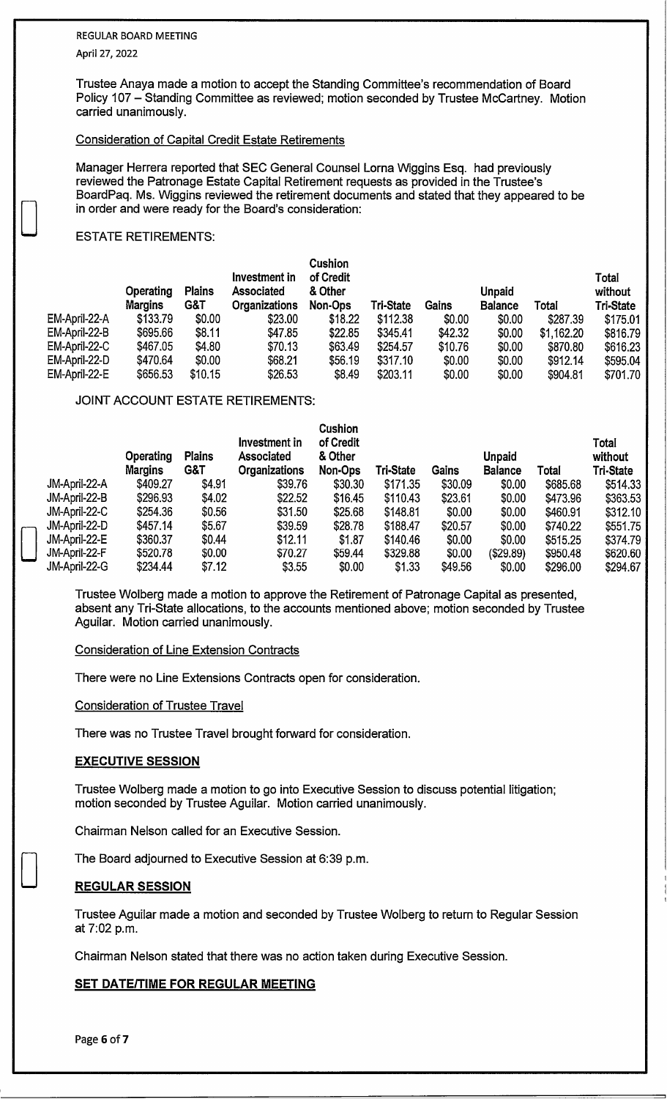# REGULAR BOARD MEETING

April 27, 2022

D

Trustee Anaya made a motion to accept the Standing Committee's recommendation of Board Policy 107 - Standing Committee as reviewed; motion seconded by Trustee McCartney. Motion carried unanimously.

### Consideration of Capital Credit Estate Retirements

Manager Herrera reported that SEC General Counsel Lorna Wiggins Esq. had previously reviewed the Patronage Estate Capital Retirement requests as provided in the Trustee's BoardPaq. Ms. Wiggins reviewed the retirement documents and stated that they appeared to be in order and were ready for the Board's consideration:

### ESTATE RETIREMENTS:

|               | <b>Operating</b><br><b>Margins</b> | <b>Plains</b><br>G&T | Investment in<br><b>Associated</b><br><b>Organizations</b> | <b>Cushion</b><br>of Credit<br>& Other<br>Non-Ops | <b>Tri-State</b> | Gains   | <b>Unpaid</b><br><b>Balance</b> | Total      | <b>Total</b><br>without<br><b>Tri-State</b> |
|---------------|------------------------------------|----------------------|------------------------------------------------------------|---------------------------------------------------|------------------|---------|---------------------------------|------------|---------------------------------------------|
| EM-April-22-A | \$133.79                           | \$0.00               | \$23.00                                                    | \$18.22                                           | \$112.38         | \$0.00  | \$0.00                          | \$287.39   | \$175.01                                    |
| EM-April-22-B | \$695.66                           | \$8.11               | \$47.85                                                    | \$22.85                                           | \$345.41         | \$42.32 | \$0.00                          | \$1,162.20 | \$816.79                                    |
| EM-April-22-C | \$467.05                           | \$4.80               | \$70.13                                                    | \$63.49                                           | \$254.57         | \$10.76 | \$0.00                          | \$870.80   | \$616.23                                    |
| EM-April-22-D | \$470.64                           | \$0.00               | \$68.21                                                    | \$56.19                                           | \$317.10         | \$0.00  | \$0.00                          | \$912.14   | \$595.04                                    |
| EM-April-22-E | \$656.53                           | \$10.15              | \$26.53                                                    | \$8.49                                            | \$203.11         | \$0.00  | \$0.00                          | \$904.81   | \$701.70                                    |
|               |                                    |                      |                                                            |                                                   |                  |         |                                 |            |                                             |

### JOINT ACCOUNT ESTATE RETIREMENTS:

|               | Operating<br><b>Margins</b> | <b>Plains</b><br>G&T | Investment in<br><b>Associated</b><br><b>Organizations</b> | <b>Cushion</b><br>of Credit<br>& Other<br>Non-Ops | Tri-State | Gains   | Unpaid<br><b>Balance</b> | Total    | Total<br>without<br>Tri-State |
|---------------|-----------------------------|----------------------|------------------------------------------------------------|---------------------------------------------------|-----------|---------|--------------------------|----------|-------------------------------|
| JM-April-22-A | \$409.27                    | \$4.91               | \$39.76                                                    | \$30.30                                           | \$171.35  | \$30.09 | \$0.00                   | \$685.68 | \$514.33                      |
| JM-April-22-B | \$296.93                    | \$4.02               | \$22.52                                                    | \$16.45                                           | \$110.43  | \$23.61 | \$0.00                   | \$473.96 | \$363.53                      |
| JM-April-22-C | \$254.36                    | \$0.56               | \$31.50                                                    | \$25.68                                           | \$148.81  | \$0.00  | \$0.00                   | \$460.91 | \$312.10                      |
| JM-April-22-D | \$457.14                    | \$5.67               | \$39.59                                                    | \$28.78                                           | \$188.47  | \$20.57 | \$0.00                   | \$740.22 | \$551.75                      |
| JM-April-22-E | \$360.37                    | \$0.44               | \$12.11                                                    | \$1.87                                            | \$140.46  | \$0.00  | \$0.00                   | \$515.25 | \$374.79                      |
| JM-April-22-F | \$520.78                    | \$0.00               | \$70.27                                                    | \$59.44                                           | \$329.88  | \$0.00  | (\$29.89)                | \$950.48 | \$620.60                      |
| JM-April-22-G | \$234.44                    | \$7.12               | \$3.55                                                     | \$0.00                                            | \$1.33    | \$49.56 | \$0.00                   | \$296.00 | \$294.67                      |
|               |                             |                      |                                                            |                                                   |           |         |                          |          |                               |

Trustee Walberg made a motion to approve the Retirement of Patronage Capital as presented, absent any Tri-State allocations, to the accounts mentioned above; motion seconded by Trustee Aguilar. Motion carried unanimously.

### Consideration of Line Extension Contracts

There were no Line Extensions Contracts open for consideration.

Consideration of Trustee Travel

There was no Trustee Travel brought forward for consideration.

### **EXECUTIVE SESSION**

Trustee Walberg made a motion to go into Executive Session to discuss potential litigation; motion seconded by Trustee Aguilar. Motion carried unanimously.

Chairman Nelson called for an Executive Session.

The Board adjourned to Executive Session at 6:39 p.m.

### **REGULAR SESSION**

Trustee Aguilar made a motion and seconded by Trustee Walberg to return to Regular Session at 7:02 p.m.

Chairman Nelson stated that there was no action taken during Executive Session.

### **SET DATE/TIME FOR REGULAR MEETING**

D